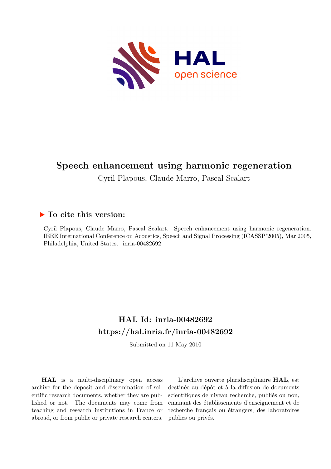

# **Speech enhancement using harmonic regeneration**

Cyril Plapous, Claude Marro, Pascal Scalart

# **To cite this version:**

Cyril Plapous, Claude Marro, Pascal Scalart. Speech enhancement using harmonic regeneration. IEEE International Conference on Acoustics, Speech and Signal Processing (ICASSP'2005), Mar 2005, Philadelphia, United States. inria-00482692

# **HAL Id: inria-00482692 <https://hal.inria.fr/inria-00482692>**

Submitted on 11 May 2010

**HAL** is a multi-disciplinary open access archive for the deposit and dissemination of scientific research documents, whether they are published or not. The documents may come from teaching and research institutions in France or abroad, or from public or private research centers.

L'archive ouverte pluridisciplinaire **HAL**, est destinée au dépôt et à la diffusion de documents scientifiques de niveau recherche, publiés ou non, émanant des établissements d'enseignement et de recherche français ou étrangers, des laboratoires publics ou privés.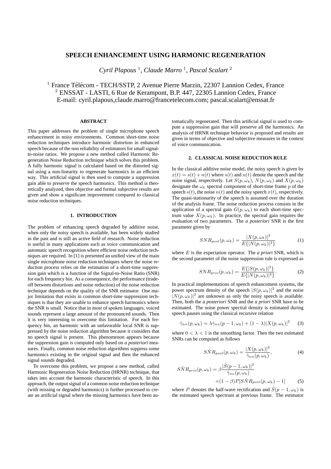# **SPEECH ENHANCEMENT USING HARMONIC REGENERATION**

*Cyril Plapous* <sup>1</sup> *, Claude Marro* <sup>1</sup> *, Pascal Scalart* <sup>2</sup>

 $1$  France Télécom - TECH/SSTP, 2 Avenue Pierre Marzin, 22307 Lannion Cedex, France <sup>2</sup> ENSSAT - LASTI, 6 Rue de Kerampont, B.P. 447, 22305 Lannion Cedex, France E-mail: cyril.plapous,claude.marro@francetelecom.com; pascal.scalart@enssat.fr

# **ABSTRACT**

This paper addresses the problem of single microphone speech enhancement in noisy environments. Common short-time noise reduction techniques introduce harmonic distortion in enhanced speech because of the non reliability of estimators for small signalto-noise ratios. We propose a new method called Harmonic Regeneration Noise Reduction technique which solves this problem. A fully harmonic signal is calculated based on the distorted signal using a non-linearity to regenerate harmonics in an efficient way. This artificial signal is then used to compute a suppression gain able to preserve the speech harmonics. This method is theoretically analyzed, then objective and formal subjective results are given and show a significant improvement compared to classical noise reduction techniques.

## **1. INTRODUCTION**

The problem of enhancing speech degraded by additive noise, when only the noisy speech is available, has been widely studied in the past and is still an active field of research. Noise reduction is useful in many applications such as voice communication and automatic speech recognition where efficient noise reduction techniques are required. In [1] is presented an unified view of the main single microphone noise reduction techniques where the noise reduction process relies on the estimation of a short-time suppression gain which is a function of the Signal-to-Noise Ratio (SNR) for each frequency bin. As a consequence, the performance (tradeoff between distortions and noise reduction) of the noise reduction technique depends on the quality of the SNR estimator. One major limitation that exists in common short-time suppression techniques is that they are unable to enhance speech harmonics where the SNR is small. Notice that in most of spoken languages, voiced sounds represent a large amount of the pronounced sounds. Then it is very interesting to overcome this limitation. For each frequency bin, an harmonic with an unfavorable local SNR is suppressed by the noise reduction algorithm because it considers that no speech signal is present. This phenomenon appears because the suppression gain is computed only based on *a posteriori* measures. Finally, common noise reduction algorithms suppress some harmonics existing in the original signal and then the enhanced signal sounds degraded.

To overcome this problem, we propose a new method, called Harmonic Regeneration Noise Reduction (HRNR) technique, that takes into account the harmonic characteristic of speech. In this approach, the output signal of a common noise reduction technique (with missing or degraded harmonics) is further processed to create an artificial signal where the missing harmonics have been automatically regenerated. Then this artificial signal is used to compute a suppression gain that will preserve all the harmonics. An analysis of HRNR technique behavior is proposed and results are given in terms of objective and subjective measures in the context of voice communication.

### **2. CLASSICAL NOISE REDUCTION RULE**

In the classical additive noise model, the noisy speech is given by  $x(t) = s(t) + n(t)$  where  $s(t)$  and  $n(t)$  denote the speech and the noise signal, respectively. Let  $S(p, \omega_k)$ ,  $N(p, \omega_k)$  and  $X(p, \omega_k)$ designate the  $\omega_k$  spectral component of short-time frame p of the speech  $s(t)$ , the noise  $n(t)$  and the noisy speech  $x(t)$ , respectively. The quasi-stationarity of the speech is assumed over the duration of the analysis frame. The noise reduction process consists in the application of a spectral gain  $G(p, \omega_k)$  to each short-time spectrum value  $X(p, \omega_k)$ . In practice, the spectral gain requires the evaluation of two parameters. The *a posteriori* SNR is the first parameter given by

$$
SNR_{post}(p,\omega_k) = \frac{|X(p,\omega_k)|^2}{E\{|N(p,\omega_k)|^2\}}
$$
(1)

where E is the expectation operator. The *a priori* SNR, which is the second parameter of the noise suppression rule is expressed as

$$
SNR_{prio}(p,\omega_k) = \frac{E\{|S(p,\omega_k)|^2\}}{E\{|N(p,\omega_k)|^2\}}.
$$
 (2)

In practical implementations of speech enhancement systems, the power spectrum density of the speech  $|S(p, \omega_k)|^2$  and the noise  $|N(p, \omega_k)|^2$  are unknown as only the noisy speech is available. Then, both the *a posteriori* SNR and the *a priori* SNR have to be estimated. The noise power spectral density is estimated during speech pauses using the classical recursive relation

$$
\hat{\gamma}_{nn}(p,\omega_k) = \lambda \hat{\gamma}_{nn}(p-1,\omega_k) + (1-\lambda)|X(p,\omega_k)|^2 \qquad (3)
$$

where  $0 < \lambda < 1$  is the smoothing factor. Then the two estimated SNRs can be computed as follows

$$
S\hat{N}R_{post}(p,\omega_k) = \frac{|X(p,\omega_k)|^2}{\hat{\gamma}_{nn}(p,\omega_k)},
$$
\n(4)

$$
S\hat{N}R_{prio}(p,\omega_k) = \beta \frac{|\hat{S}(p-1,\omega_k)|^2}{\hat{\gamma}_{nn}(p,\omega_k)}
$$
  
+ (1 - \beta) P[S\hat{N}R (p, \omega\_k) - 1] (5)

where P denotes the half-wave rectification and 
$$
\hat{S}(p-1,\omega_k)
$$
 is

the estimated speech spectrum at previous frame. The estimator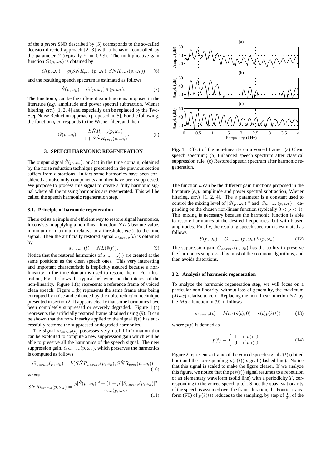of the *a priori* SNR described by (5) corresponds to the so-called decision-directed approach [2, 3] with a behavior controlled by the parameter  $\beta$  (typically  $\beta = 0.98$ ). The multiplicative gain function  $G(p, \omega_k)$  is obtained by

$$
G(p,\omega_k) = g(S\hat{N}R_{prio}(p,\omega_k), S\hat{N}R_{post}(p,\omega_k))
$$
 (6)

and the resulting speech spectrum is estimated as follows

$$
\hat{S}(p,\omega_k) = G(p,\omega_k)X(p,\omega_k). \tag{7}
$$

The function  $q$  can be the different gain functions proposed in the literature (*e.g.* amplitude and power spectral subtraction, Wiener filtering, *etc.*) [1, 2, 4] and especially can be replaced by the Two-Step Noise Reduction approach proposed in [5]. For the following, the function  $q$  corresponds to the Wiener filter, and then

$$
G(p,\omega_k) = \frac{S\hat{N}R_{prio}(p,\omega_k)}{1 + S\hat{N}R_{prio}(p,\omega_k)}.
$$
 (8)

#### **3. SPEECH HARMONIC REGENERATION**

The output signal  $\hat{S}(p,\omega_k)$ , or  $\hat{s}(t)$  in the time domain, obtained by the noise reduction technique presented in the previous section suffers from distortions. In fact some harmonics have been considered as noise only components and then have been suppressed. We propose to process this signal to create a fully harmonic signal where all the missing harmonics are regenerated. This will be called the speech harmonic regeneration step.

### **3.1. Principle of harmonic regeneration**

There exists a simple and efficient way to restore signal harmonics, it consists in applying a non-linear function  $NL$  (absolute value, minimum or maximum relative to a threshold, *etc.*) to the time signal. Then the artificially restored signal  $s_{harmo}(t)$  is obtained by

$$
s_{harmo}(t) = NL(\hat{s}(t)).
$$
\n(9)

Notice that the restored harmonics of  $s_{harmo}(t)$  are created at the same positions as the clean speech ones. This very interesting and important characteristic is implicitly assured because a nonlinearity in the time domain is used to restore them. For illustration, Fig. 1 shows the typical behavior and the interest of the non-linearity. Figure 1.(a) represents a reference frame of voiced clean speech. Figure 1.(b) represents the same frame after being corrupted by noise and enhanced by the noise reduction technique presented in section 2. It appears clearly that some harmonics have been completely suppressed or severely degraded. Figure 1.(c) represents the artificially restored frame obtained using (9). It can be shown that the non-linearity applied to the signal  $\hat{s}(t)$  has successfully restored the suppressed or degraded harmonics.

The signal  $s_{harmo}(t)$  possesses very useful information that can be exploited to compute a new suppression gain which will be able to preserve all the harmonics of the speech signal. The new suppression gain,  $G_{harmo}(p, \omega_k)$ , which preserves the harmonics is computed as follows

$$
G_{harmo}(p,\omega_k) = h(S\hat{N}R_{harmo}(p,\omega_k), S\hat{N}R_{post}(p,\omega_k)),
$$
\n(10)

where

$$
S\hat{N}R_{harmo}(p,\omega_k) = \frac{\rho |\hat{S}(p,\omega_k)|^2 + (1-\rho)|S_{harmo}(p,\omega_k)|^2}{\hat{\gamma}_{nn}(p,\omega_k)}.
$$
\n(11)



**Fig. 1**: Effect of the non-linearity on a voiced frame. (a) Clean speech spectrum; (b) Enhanced speech spectrum after classical suppression rule; (c) Restored speech spectrum after harmonic regeneration.

The function  $h$  can be the different gain functions proposed in the literature (*e.g.* amplitude and power spectral subtraction, Wiener filtering, *etc.*) [1, 2, 4]. The  $\rho$  parameter is a constant used to control the mixing level of  $|\hat{S}(p,\omega_k)|^2$  and  $|S_{harmo}(p,\omega_k)|^2$  depending on the chosen non-linear function (typically  $0 < \rho < 1$ ). This mixing is necessary because the harmonic function is able to restore harmonics at the desired frequencies, but with biased amplitudes. Finally, the resulting speech spectrum is estimated as follows

$$
\hat{S}(p,\omega_k) = G_{harmo}(p,\omega_k) X(p,\omega_k). \tag{12}
$$

The suppression gain  $G_{harmo}(p, \omega_k)$  has the ability to preserve the harmonics suppressed by most of the common algorithms, and then avoids distortions.

#### **3.2. Analysis of harmonic regeneration**

To analyze the harmonic regeneration step, we will focus on a particular non-linearity, without loss of generality, the maximum  $(Max)$  relative to zero. Replacing the non-linear function  $NL$  by the  $Max$  function in (9), it follows

$$
s_{harmo}(t) = Max(\hat{s}(t), 0) = \hat{s}(t)p(\hat{s}(t))
$$
\n(13)

where  $p(t)$  is defined as

$$
p(t) = \begin{cases} 1 & \text{if } t > 0 \\ 0 & \text{if } t < 0. \end{cases} \tag{14}
$$

Figure 2 represents a frame of the voiced speech signal  $\hat{s}(t)$  (dotted line) and the corresponding  $p(\hat{s}(t))$  signal (dashed line). Notice that this signal is scaled to make the figure clearer. If we analyze this figure, we notice that the  $p(\hat{s}(t))$  signal resumes to a repetition of an elementary waveform (solid line) with a periodicity  $T$ , corresponding to the voiced speech pitch. Since the quasi-stationarity of the speech is assumed over the frame duration, the Fourier transform (FT) of  $p(\hat{s}(t))$  reduces to the sampling, by step of  $\frac{1}{T}$ , of the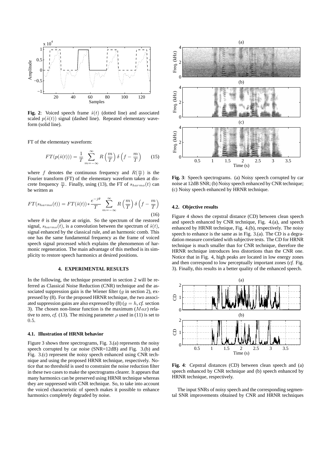

**Fig. 2**: Voiced speech frame  $\hat{s}(t)$  (dotted line) and associated scaled  $p(\hat{s}(t))$  signal (dashed line). Repeated elementary waveform (solid line).

FT of the elementary waveform:

$$
FT(p(\hat{s}(t))) = \frac{1}{T} \sum_{m=-\infty}^{\infty} R\left(\frac{m}{T}\right) \delta\left(f - \frac{m}{T}\right) \tag{15}
$$

where f denotes the continuous frequency and  $R(\frac{m}{T})$  is the Fourier transform (FT) of the elementary waveform taken at discrete frequency  $\frac{m}{T}$ . Finally, using (13), the FT of  $s_{harmo}(t)$  can be written as

$$
FT(s_{harmo}(t)) = FT(\hat{s}(t)) * \frac{e^{-j\theta}}{T} \sum_{m=-\infty}^{\infty} R\left(\frac{m}{T}\right) \delta\left(f - \frac{m}{T}\right)
$$
\n(16)

where  $\theta$  is the phase at origin. So the spectrum of the restored signal,  $s_{harmo}(t)$ , is a convolution between the spectrum of  $\hat{s}(t)$ , signal enhanced by the classical rule, and an harmonic comb. This one has the same fundamental frequency as the frame of voiced speech signal processed which explains the phenomenon of harmonic regeneration. The main advantage of this method is its simplicity to restore speech harmonics at desired positions.

#### **4. EXPERIMENTAL RESULTS**

In the following, the technique presented in section 2 will be referred as Classical Noise Reduction (CNR) technique and the associated suppression gain is the Wiener filter  $(g$  in section 2), expressed by (8). For the proposed HRNR technique, the two associated suppression gains are also expressed by  $(8)$  ( $q = h, cf.$  section 3). The chosen non-linear function is the maximum  $(Max)$  relative to zero, *cf.* (13). The mixing parameter  $\rho$  used in (11) is set to 0.5.

### **4.1. Illustration of HRNR behavior**

Figure 3 shows three spectrograms, Fig. 3.(a) represents the noisy speech corrupted by car noise (SNR=12dB) and Fig. 3.(b) and Fig. 3.(c) represent the noisy speech enhanced using CNR technique and using the proposed HRNR technique, respectively. Notice that no threshold is used to constraint the noise reduction filter in these two cases to make the spectrograms clearer. It appears that many harmonics can be preserved using HRNR technique whereas they are suppressed with CNR technique. So, to take into account the voiced characteristic of speech makes it possible to enhance harmonics completely degraded by noise.



**Fig. 3**: Speech spectrograms. (a) Noisy speech corrupted by car noise at 12dB SNR; (b) Noisy speech enhanced by CNR technique; (c) Noisy speech enhanced by HRNR technique.

#### **4.2. Objective results**

Figure 4 shows the cepstral distance (CD) between clean speech and speech enhanced by CNR technique, Fig. 4.(a), and speech enhanced by HRNR technique, Fig. 4.(b), respectively. The noisy speech to enhance is the same as in Fig. 3.(a). The CD is a degradation measure correlated with subjective tests. The CD for HRNR technique is much smaller than for CNR technique, therefore the HRNR technique introduces less distortions than the CNR one. Notice that in Fig. 4, high peaks are located in low energy zones and then correspond to low perceptually important zones (*cf.* Fig. 3). Finally, this results in a better quality of the enhanced speech.



**Fig. 4**: Cepstral distances (CD) between clean speech and (a) speech enhanced by CNR technique and (b) speech enhanced by HRNR technique, respectively.

The input SNRs of noisy speech and the corresponding segmental SNR improvements obtained by CNR and HRNR techniques

(a)